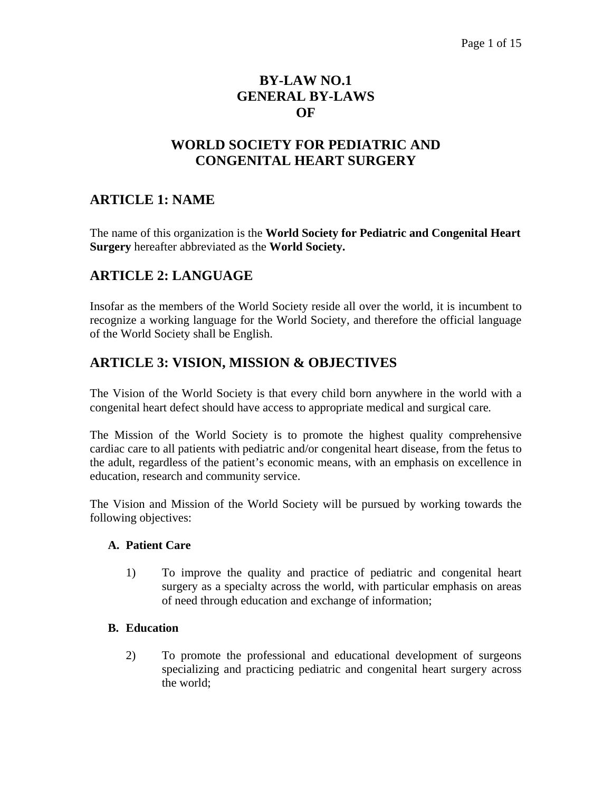## **BY-LAW NO.1 GENERAL BY-LAWS OF**

# **WORLD SOCIETY FOR PEDIATRIC AND CONGENITAL HEART SURGERY**

### **ARTICLE 1: NAME**

The name of this organization is the **World Society for Pediatric and Congenital Heart Surgery** hereafter abbreviated as the **World Society.** 

### **ARTICLE 2: LANGUAGE**

Insofar as the members of the World Society reside all over the world, it is incumbent to recognize a working language for the World Society, and therefore the official language of the World Society shall be English.

### **ARTICLE 3: VISION, MISSION & OBJECTIVES**

The Vision of the World Society is that every child born anywhere in the world with a congenital heart defect should have access to appropriate medical and surgical care*.*

The Mission of the World Society is to promote the highest quality comprehensive cardiac care to all patients with pediatric and/or congenital heart disease, from the fetus to the adult, regardless of the patient's economic means, with an emphasis on excellence in education, research and community service.

The Vision and Mission of the World Society will be pursued by working towards the following objectives:

#### **A. Patient Care**

1) To improve the quality and practice of pediatric and congenital heart surgery as a specialty across the world, with particular emphasis on areas of need through education and exchange of information;

#### **B. Education**

2) To promote the professional and educational development of surgeons specializing and practicing pediatric and congenital heart surgery across the world;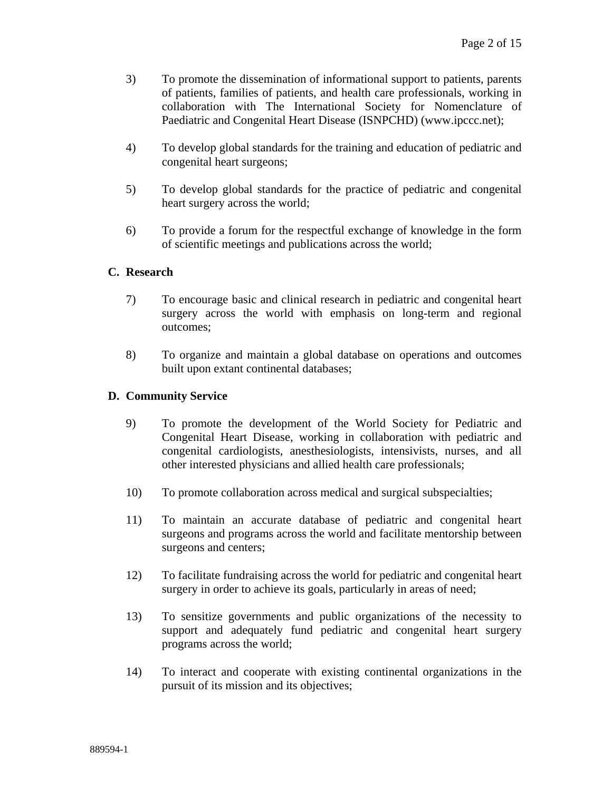- 3) To promote the dissemination of informational support to patients, parents of patients, families of patients, and health care professionals, working in collaboration with The International Society for Nomenclature of Paediatric and Congenital Heart Disease (ISNPCHD) (www.ipccc.net);
- 4) To develop global standards for the training and education of pediatric and congenital heart surgeons;
- 5) To develop global standards for the practice of pediatric and congenital heart surgery across the world;
- 6) To provide a forum for the respectful exchange of knowledge in the form of scientific meetings and publications across the world;

#### **C. Research**

- 7) To encourage basic and clinical research in pediatric and congenital heart surgery across the world with emphasis on long-term and regional outcomes;
- 8) To organize and maintain a global database on operations and outcomes built upon extant continental databases;

#### **D. Community Service**

- 9) To promote the development of the World Society for Pediatric and Congenital Heart Disease, working in collaboration with pediatric and congenital cardiologists, anesthesiologists, intensivists, nurses, and all other interested physicians and allied health care professionals;
- 10) To promote collaboration across medical and surgical subspecialties;
- 11) To maintain an accurate database of pediatric and congenital heart surgeons and programs across the world and facilitate mentorship between surgeons and centers;
- 12) To facilitate fundraising across the world for pediatric and congenital heart surgery in order to achieve its goals, particularly in areas of need;
- 13) To sensitize governments and public organizations of the necessity to support and adequately fund pediatric and congenital heart surgery programs across the world;
- 14) To interact and cooperate with existing continental organizations in the pursuit of its mission and its objectives;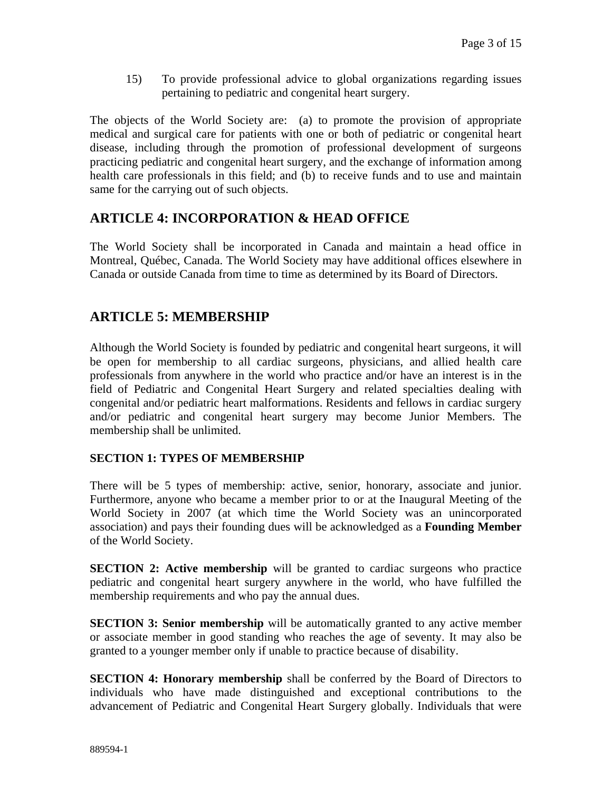15) To provide professional advice to global organizations regarding issues pertaining to pediatric and congenital heart surgery.

The objects of the World Society are: (a) to promote the provision of appropriate medical and surgical care for patients with one or both of pediatric or congenital heart disease, including through the promotion of professional development of surgeons practicing pediatric and congenital heart surgery, and the exchange of information among health care professionals in this field; and (b) to receive funds and to use and maintain same for the carrying out of such objects.

### **ARTICLE 4: INCORPORATION & HEAD OFFICE**

The World Society shall be incorporated in Canada and maintain a head office in Montreal, Québec, Canada. The World Society may have additional offices elsewhere in Canada or outside Canada from time to time as determined by its Board of Directors.

### **ARTICLE 5: MEMBERSHIP**

Although the World Society is founded by pediatric and congenital heart surgeons, it will be open for membership to all cardiac surgeons, physicians, and allied health care professionals from anywhere in the world who practice and/or have an interest is in the field of Pediatric and Congenital Heart Surgery and related specialties dealing with congenital and/or pediatric heart malformations. Residents and fellows in cardiac surgery and/or pediatric and congenital heart surgery may become Junior Members. The membership shall be unlimited.

#### **SECTION 1: TYPES OF MEMBERSHIP**

There will be 5 types of membership: active, senior, honorary, associate and junior. Furthermore, anyone who became a member prior to or at the Inaugural Meeting of the World Society in 2007 (at which time the World Society was an unincorporated association) and pays their founding dues will be acknowledged as a **Founding Member**  of the World Society.

**SECTION 2: Active membership** will be granted to cardiac surgeons who practice pediatric and congenital heart surgery anywhere in the world, who have fulfilled the membership requirements and who pay the annual dues.

**SECTION 3: Senior membership** will be automatically granted to any active member or associate member in good standing who reaches the age of seventy. It may also be granted to a younger member only if unable to practice because of disability.

**SECTION 4: Honorary membership** shall be conferred by the Board of Directors to individuals who have made distinguished and exceptional contributions to the advancement of Pediatric and Congenital Heart Surgery globally. Individuals that were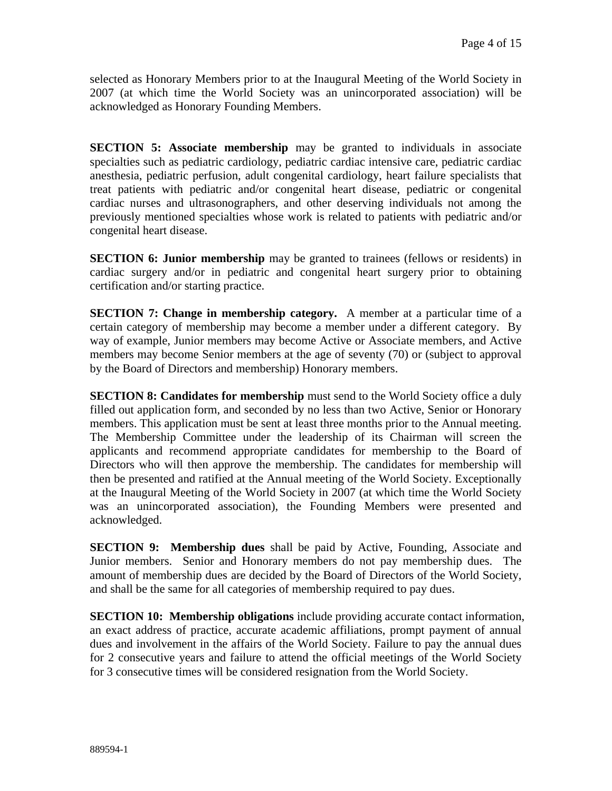selected as Honorary Members prior to at the Inaugural Meeting of the World Society in 2007 (at which time the World Society was an unincorporated association) will be acknowledged as Honorary Founding Members.

**SECTION 5: Associate membership** may be granted to individuals in associate specialties such as pediatric cardiology, pediatric cardiac intensive care, pediatric cardiac anesthesia, pediatric perfusion, adult congenital cardiology, heart failure specialists that treat patients with pediatric and/or congenital heart disease, pediatric or congenital cardiac nurses and ultrasonographers, and other deserving individuals not among the previously mentioned specialties whose work is related to patients with pediatric and/or congenital heart disease.

**SECTION 6: Junior membership** may be granted to trainees (fellows or residents) in cardiac surgery and/or in pediatric and congenital heart surgery prior to obtaining certification and/or starting practice.

**SECTION 7: Change in membership category.** A member at a particular time of a certain category of membership may become a member under a different category. By way of example, Junior members may become Active or Associate members, and Active members may become Senior members at the age of seventy (70) or (subject to approval by the Board of Directors and membership) Honorary members.

**SECTION 8: Candidates for membership** must send to the World Society office a duly filled out application form, and seconded by no less than two Active, Senior or Honorary members. This application must be sent at least three months prior to the Annual meeting. The Membership Committee under the leadership of its Chairman will screen the applicants and recommend appropriate candidates for membership to the Board of Directors who will then approve the membership. The candidates for membership will then be presented and ratified at the Annual meeting of the World Society. Exceptionally at the Inaugural Meeting of the World Society in 2007 (at which time the World Society was an unincorporated association), the Founding Members were presented and acknowledged.

**SECTION 9: Membership dues** shall be paid by Active, Founding, Associate and Junior members. Senior and Honorary members do not pay membership dues. The amount of membership dues are decided by the Board of Directors of the World Society, and shall be the same for all categories of membership required to pay dues.

**SECTION 10: Membership obligations** include providing accurate contact information, an exact address of practice, accurate academic affiliations, prompt payment of annual dues and involvement in the affairs of the World Society. Failure to pay the annual dues for 2 consecutive years and failure to attend the official meetings of the World Society for 3 consecutive times will be considered resignation from the World Society.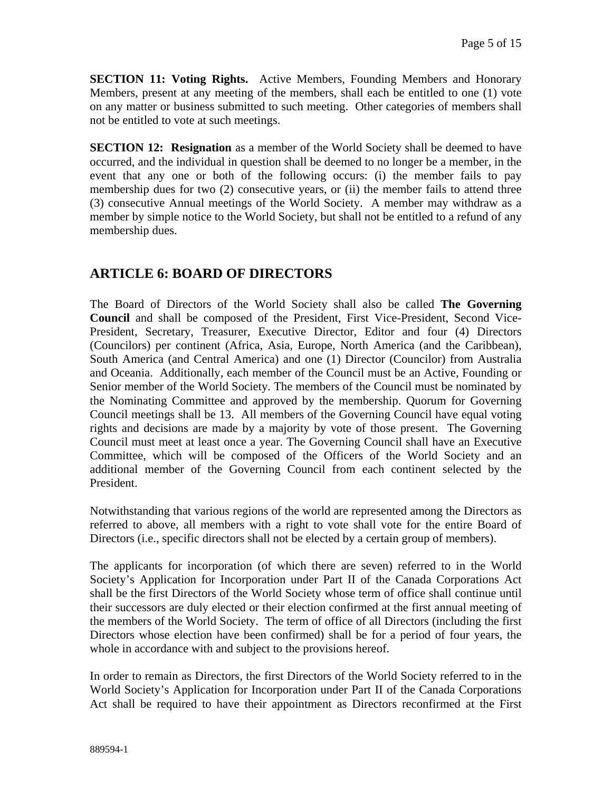**SECTION 11: Voting Rights.** Active Members, Founding Members and Honorary Members, present at any meeting of the members, shall each be entitled to one (1) vote on any matter or business submitted to such meeting. Other categories of members shall not be entitled to vote at such meetings.

**SECTION 12: Resignation** as a member of the World Society shall be deemed to have occurred, and the individual in question shall be deemed to no longer be a member, in the event that any one or both of the following occurs: (i) the member fails to pay membership dues for two (2) consecutive years, or (ii) the member fails to attend three (3) consecutive Annual meetings of the World Society. A member may withdraw as a member by simple notice to the World Society, but shall not be entitled to a refund of any membership dues.

# **ARTICLE 6: BOARD OF DIRECTORS**

The Board of Directors of the World Society shall also be called **The Governing Council** and shall be composed of the President, First Vice-President, Second Vice-President, Secretary, Treasurer, Executive Director, Editor and four (4) Directors (Councilors) per continent (Africa, Asia, Europe, North America (and the Caribbean), South America (and Central America) and one (1) Director (Councilor) from Australia and Oceania. Additionally, each member of the Council must be an Active, Founding or Senior member of the World Society. The members of the Council must be nominated by the Nominating Committee and approved by the membership. Quorum for Governing Council meetings shall be 13. All members of the Governing Council have equal voting rights and decisions are made by a majority by vote of those present. The Governing Council must meet at least once a year. The Governing Council shall have an Executive Committee, which will be composed of the Officers of the World Society and an additional member of the Governing Council from each continent selected by the President.

Notwithstanding that various regions of the world are represented among the Directors as referred to above, all members with a right to vote shall vote for the entire Board of Directors (i.e., specific directors shall not be elected by a certain group of members).

The applicants for incorporation (of which there are seven) referred to in the World Society's Application for Incorporation under Part II of the Canada Corporations Act shall be the first Directors of the World Society whose term of office shall continue until their successors are duly elected or their election confirmed at the first annual meeting of the members of the World Society. The term of office of all Directors (including the first Directors whose election have been confirmed) shall be for a period of four years, the whole in accordance with and subject to the provisions hereof.

In order to remain as Directors, the first Directors of the World Society referred to in the World Society's Application for Incorporation under Part II of the Canada Corporations Act shall be required to have their appointment as Directors reconfirmed at the First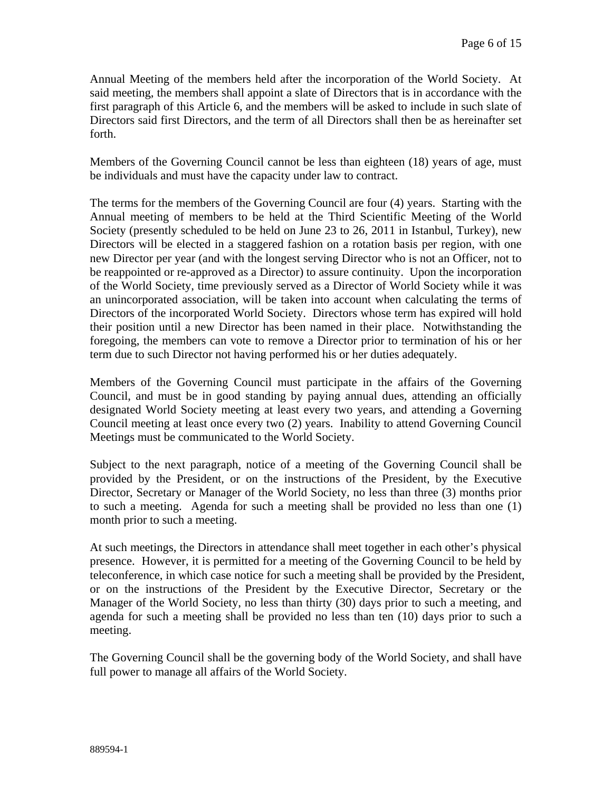Annual Meeting of the members held after the incorporation of the World Society. At said meeting, the members shall appoint a slate of Directors that is in accordance with the first paragraph of this Article 6, and the members will be asked to include in such slate of Directors said first Directors, and the term of all Directors shall then be as hereinafter set forth.

Members of the Governing Council cannot be less than eighteen (18) years of age, must be individuals and must have the capacity under law to contract.

The terms for the members of the Governing Council are four (4) years. Starting with the Annual meeting of members to be held at the Third Scientific Meeting of the World Society (presently scheduled to be held on June 23 to 26, 2011 in Istanbul, Turkey), new Directors will be elected in a staggered fashion on a rotation basis per region, with one new Director per year (and with the longest serving Director who is not an Officer, not to be reappointed or re-approved as a Director) to assure continuity. Upon the incorporation of the World Society, time previously served as a Director of World Society while it was an unincorporated association, will be taken into account when calculating the terms of Directors of the incorporated World Society. Directors whose term has expired will hold their position until a new Director has been named in their place. Notwithstanding the foregoing, the members can vote to remove a Director prior to termination of his or her term due to such Director not having performed his or her duties adequately.

Members of the Governing Council must participate in the affairs of the Governing Council, and must be in good standing by paying annual dues, attending an officially designated World Society meeting at least every two years, and attending a Governing Council meeting at least once every two (2) years. Inability to attend Governing Council Meetings must be communicated to the World Society.

Subject to the next paragraph, notice of a meeting of the Governing Council shall be provided by the President, or on the instructions of the President, by the Executive Director, Secretary or Manager of the World Society, no less than three (3) months prior to such a meeting. Agenda for such a meeting shall be provided no less than one (1) month prior to such a meeting.

At such meetings, the Directors in attendance shall meet together in each other's physical presence. However, it is permitted for a meeting of the Governing Council to be held by teleconference, in which case notice for such a meeting shall be provided by the President, or on the instructions of the President by the Executive Director, Secretary or the Manager of the World Society, no less than thirty (30) days prior to such a meeting, and agenda for such a meeting shall be provided no less than ten (10) days prior to such a meeting.

The Governing Council shall be the governing body of the World Society, and shall have full power to manage all affairs of the World Society.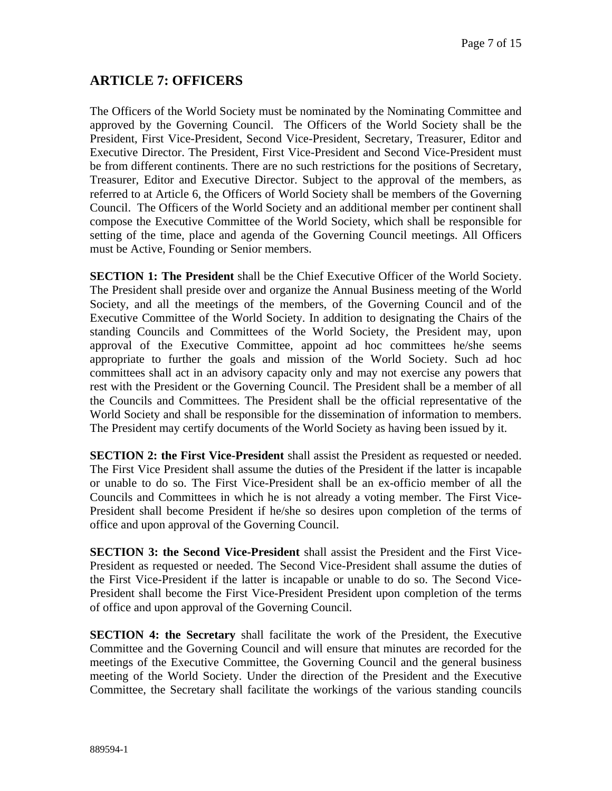### **ARTICLE 7: OFFICERS**

The Officers of the World Society must be nominated by the Nominating Committee and approved by the Governing Council. The Officers of the World Society shall be the President, First Vice-President, Second Vice-President, Secretary, Treasurer, Editor and Executive Director. The President, First Vice-President and Second Vice-President must be from different continents. There are no such restrictions for the positions of Secretary, Treasurer, Editor and Executive Director. Subject to the approval of the members, as referred to at Article 6, the Officers of World Society shall be members of the Governing Council. The Officers of the World Society and an additional member per continent shall compose the Executive Committee of the World Society, which shall be responsible for setting of the time, place and agenda of the Governing Council meetings. All Officers must be Active, Founding or Senior members.

**SECTION 1: The President** shall be the Chief Executive Officer of the World Society. The President shall preside over and organize the Annual Business meeting of the World Society, and all the meetings of the members, of the Governing Council and of the Executive Committee of the World Society. In addition to designating the Chairs of the standing Councils and Committees of the World Society, the President may, upon approval of the Executive Committee, appoint ad hoc committees he/she seems appropriate to further the goals and mission of the World Society. Such ad hoc committees shall act in an advisory capacity only and may not exercise any powers that rest with the President or the Governing Council. The President shall be a member of all the Councils and Committees. The President shall be the official representative of the World Society and shall be responsible for the dissemination of information to members. The President may certify documents of the World Society as having been issued by it.

**SECTION 2: the First Vice-President** shall assist the President as requested or needed. The First Vice President shall assume the duties of the President if the latter is incapable or unable to do so. The First Vice-President shall be an ex-officio member of all the Councils and Committees in which he is not already a voting member. The First Vice-President shall become President if he/she so desires upon completion of the terms of office and upon approval of the Governing Council.

**SECTION 3: the Second Vice-President** shall assist the President and the First Vice-President as requested or needed. The Second Vice-President shall assume the duties of the First Vice-President if the latter is incapable or unable to do so. The Second Vice-President shall become the First Vice-President President upon completion of the terms of office and upon approval of the Governing Council.

**SECTION 4: the Secretary** shall facilitate the work of the President, the Executive Committee and the Governing Council and will ensure that minutes are recorded for the meetings of the Executive Committee, the Governing Council and the general business meeting of the World Society. Under the direction of the President and the Executive Committee, the Secretary shall facilitate the workings of the various standing councils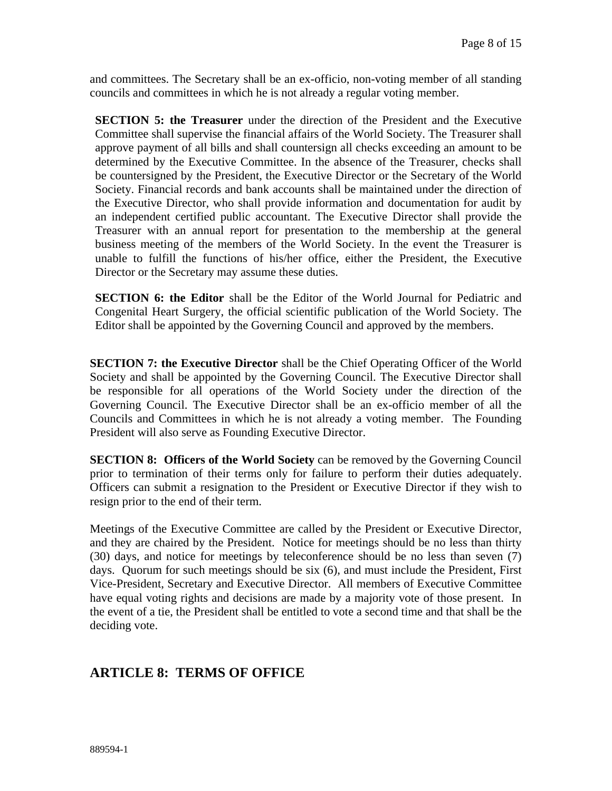and committees. The Secretary shall be an ex-officio, non-voting member of all standing councils and committees in which he is not already a regular voting member.

**SECTION 5: the Treasurer** under the direction of the President and the Executive Committee shall supervise the financial affairs of the World Society. The Treasurer shall approve payment of all bills and shall countersign all checks exceeding an amount to be determined by the Executive Committee. In the absence of the Treasurer, checks shall be countersigned by the President, the Executive Director or the Secretary of the World Society. Financial records and bank accounts shall be maintained under the direction of the Executive Director, who shall provide information and documentation for audit by an independent certified public accountant. The Executive Director shall provide the Treasurer with an annual report for presentation to the membership at the general business meeting of the members of the World Society. In the event the Treasurer is unable to fulfill the functions of his/her office, either the President, the Executive Director or the Secretary may assume these duties.

**SECTION 6: the Editor** shall be the Editor of the World Journal for Pediatric and Congenital Heart Surgery, the official scientific publication of the World Society. The Editor shall be appointed by the Governing Council and approved by the members.

**SECTION 7: the Executive Director** shall be the Chief Operating Officer of the World Society and shall be appointed by the Governing Council. The Executive Director shall be responsible for all operations of the World Society under the direction of the Governing Council. The Executive Director shall be an ex-officio member of all the Councils and Committees in which he is not already a voting member. The Founding President will also serve as Founding Executive Director.

**SECTION 8: Officers of the World Society** can be removed by the Governing Council prior to termination of their terms only for failure to perform their duties adequately. Officers can submit a resignation to the President or Executive Director if they wish to resign prior to the end of their term.

Meetings of the Executive Committee are called by the President or Executive Director, and they are chaired by the President. Notice for meetings should be no less than thirty (30) days, and notice for meetings by teleconference should be no less than seven (7) days. Quorum for such meetings should be six (6), and must include the President, First Vice-President, Secretary and Executive Director. All members of Executive Committee have equal voting rights and decisions are made by a majority vote of those present. In the event of a tie, the President shall be entitled to vote a second time and that shall be the deciding vote.

### **ARTICLE 8: TERMS OF OFFICE**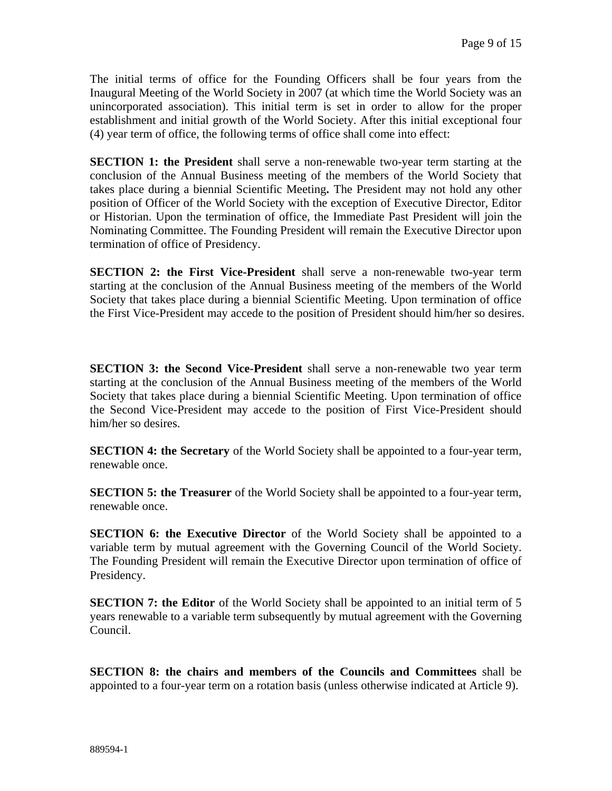The initial terms of office for the Founding Officers shall be four years from the Inaugural Meeting of the World Society in 2007 (at which time the World Society was an unincorporated association). This initial term is set in order to allow for the proper establishment and initial growth of the World Society. After this initial exceptional four (4) year term of office, the following terms of office shall come into effect:

**SECTION 1: the President** shall serve a non-renewable two-year term starting at the conclusion of the Annual Business meeting of the members of the World Society that takes place during a biennial Scientific Meeting**.** The President may not hold any other position of Officer of the World Society with the exception of Executive Director, Editor or Historian. Upon the termination of office, the Immediate Past President will join the Nominating Committee. The Founding President will remain the Executive Director upon termination of office of Presidency.

**SECTION 2: the First Vice-President** shall serve a non-renewable two-year term starting at the conclusion of the Annual Business meeting of the members of the World Society that takes place during a biennial Scientific Meeting. Upon termination of office the First Vice-President may accede to the position of President should him/her so desires.

**SECTION 3: the Second Vice-President** shall serve a non-renewable two year term starting at the conclusion of the Annual Business meeting of the members of the World Society that takes place during a biennial Scientific Meeting. Upon termination of office the Second Vice-President may accede to the position of First Vice-President should him/her so desires.

**SECTION 4: the Secretary** of the World Society shall be appointed to a four-year term, renewable once.

**SECTION 5: the Treasurer** of the World Society shall be appointed to a four-year term, renewable once.

**SECTION 6: the Executive Director** of the World Society shall be appointed to a variable term by mutual agreement with the Governing Council of the World Society. The Founding President will remain the Executive Director upon termination of office of Presidency.

**SECTION 7: the Editor** of the World Society shall be appointed to an initial term of 5 years renewable to a variable term subsequently by mutual agreement with the Governing Council.

**SECTION 8: the chairs and members of the Councils and Committees** shall be appointed to a four-year term on a rotation basis (unless otherwise indicated at Article 9).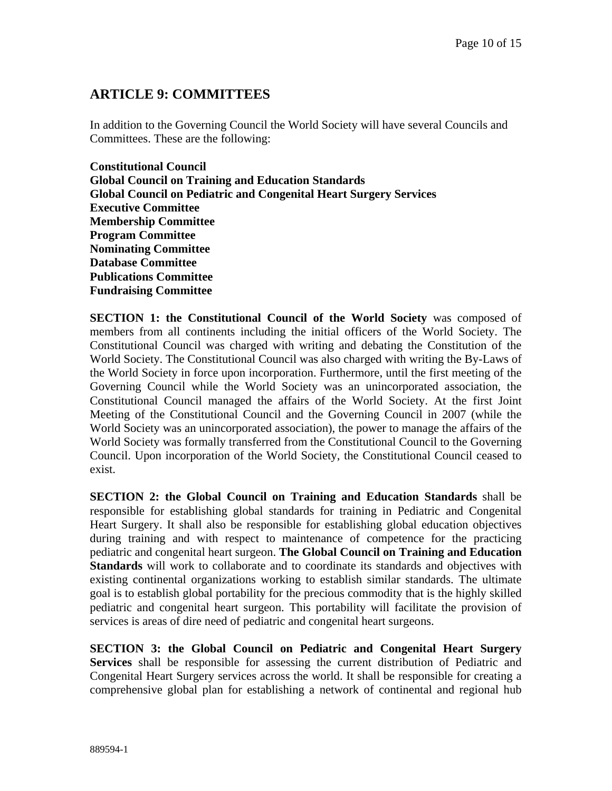## **ARTICLE 9: COMMITTEES**

In addition to the Governing Council the World Society will have several Councils and Committees. These are the following:

**Constitutional Council Global Council on Training and Education Standards Global Council on Pediatric and Congenital Heart Surgery Services Executive Committee Membership Committee Program Committee Nominating Committee Database Committee Publications Committee Fundraising Committee** 

**SECTION 1: the Constitutional Council of the World Society** was composed of members from all continents including the initial officers of the World Society. The Constitutional Council was charged with writing and debating the Constitution of the World Society. The Constitutional Council was also charged with writing the By-Laws of the World Society in force upon incorporation. Furthermore, until the first meeting of the Governing Council while the World Society was an unincorporated association, the Constitutional Council managed the affairs of the World Society. At the first Joint Meeting of the Constitutional Council and the Governing Council in 2007 (while the World Society was an unincorporated association), the power to manage the affairs of the World Society was formally transferred from the Constitutional Council to the Governing Council. Upon incorporation of the World Society, the Constitutional Council ceased to exist.

**SECTION 2: the Global Council on Training and Education Standards** shall be responsible for establishing global standards for training in Pediatric and Congenital Heart Surgery. It shall also be responsible for establishing global education objectives during training and with respect to maintenance of competence for the practicing pediatric and congenital heart surgeon. **The Global Council on Training and Education Standards** will work to collaborate and to coordinate its standards and objectives with existing continental organizations working to establish similar standards. The ultimate goal is to establish global portability for the precious commodity that is the highly skilled pediatric and congenital heart surgeon. This portability will facilitate the provision of services is areas of dire need of pediatric and congenital heart surgeons.

**SECTION 3: the Global Council on Pediatric and Congenital Heart Surgery Services** shall be responsible for assessing the current distribution of Pediatric and Congenital Heart Surgery services across the world. It shall be responsible for creating a comprehensive global plan for establishing a network of continental and regional hub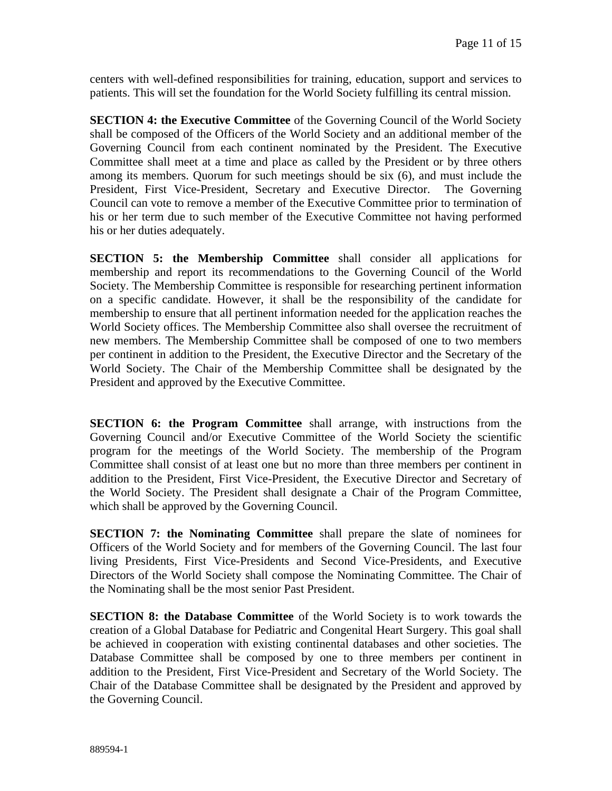centers with well-defined responsibilities for training, education, support and services to patients. This will set the foundation for the World Society fulfilling its central mission.

**SECTION 4: the Executive Committee** of the Governing Council of the World Society shall be composed of the Officers of the World Society and an additional member of the Governing Council from each continent nominated by the President. The Executive Committee shall meet at a time and place as called by the President or by three others among its members. Quorum for such meetings should be six (6), and must include the President, First Vice-President, Secretary and Executive Director. The Governing Council can vote to remove a member of the Executive Committee prior to termination of his or her term due to such member of the Executive Committee not having performed his or her duties adequately.

**SECTION 5: the Membership Committee** shall consider all applications for membership and report its recommendations to the Governing Council of the World Society. The Membership Committee is responsible for researching pertinent information on a specific candidate. However, it shall be the responsibility of the candidate for membership to ensure that all pertinent information needed for the application reaches the World Society offices. The Membership Committee also shall oversee the recruitment of new members. The Membership Committee shall be composed of one to two members per continent in addition to the President, the Executive Director and the Secretary of the World Society. The Chair of the Membership Committee shall be designated by the President and approved by the Executive Committee.

**SECTION 6: the Program Committee** shall arrange, with instructions from the Governing Council and/or Executive Committee of the World Society the scientific program for the meetings of the World Society. The membership of the Program Committee shall consist of at least one but no more than three members per continent in addition to the President, First Vice-President, the Executive Director and Secretary of the World Society. The President shall designate a Chair of the Program Committee, which shall be approved by the Governing Council.

**SECTION 7: the Nominating Committee** shall prepare the slate of nominees for Officers of the World Society and for members of the Governing Council. The last four living Presidents, First Vice-Presidents and Second Vice-Presidents, and Executive Directors of the World Society shall compose the Nominating Committee. The Chair of the Nominating shall be the most senior Past President.

**SECTION 8: the Database Committee** of the World Society is to work towards the creation of a Global Database for Pediatric and Congenital Heart Surgery. This goal shall be achieved in cooperation with existing continental databases and other societies. The Database Committee shall be composed by one to three members per continent in addition to the President, First Vice-President and Secretary of the World Society. The Chair of the Database Committee shall be designated by the President and approved by the Governing Council.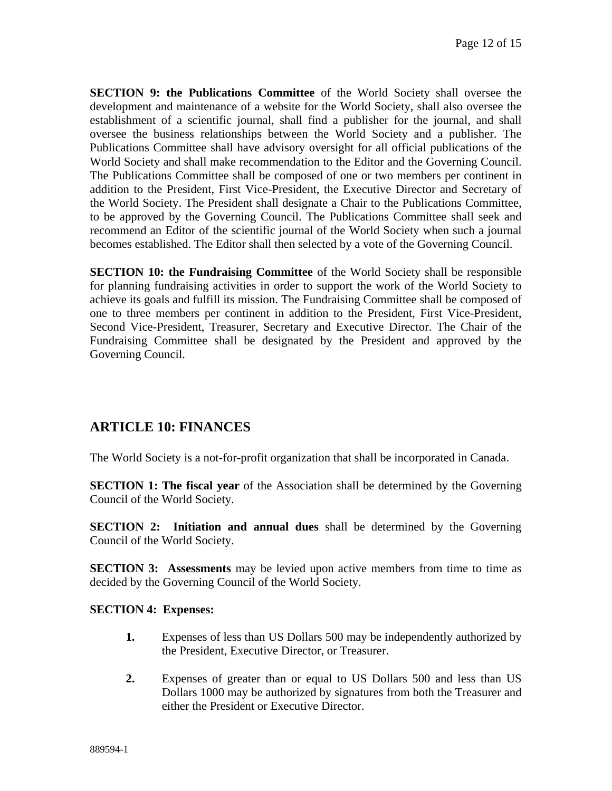**SECTION 9: the Publications Committee** of the World Society shall oversee the development and maintenance of a website for the World Society, shall also oversee the establishment of a scientific journal, shall find a publisher for the journal, and shall oversee the business relationships between the World Society and a publisher. The Publications Committee shall have advisory oversight for all official publications of the World Society and shall make recommendation to the Editor and the Governing Council. The Publications Committee shall be composed of one or two members per continent in addition to the President, First Vice-President, the Executive Director and Secretary of the World Society. The President shall designate a Chair to the Publications Committee, to be approved by the Governing Council. The Publications Committee shall seek and recommend an Editor of the scientific journal of the World Society when such a journal becomes established. The Editor shall then selected by a vote of the Governing Council.

**SECTION 10: the Fundraising Committee** of the World Society shall be responsible for planning fundraising activities in order to support the work of the World Society to achieve its goals and fulfill its mission. The Fundraising Committee shall be composed of one to three members per continent in addition to the President, First Vice-President, Second Vice-President, Treasurer, Secretary and Executive Director. The Chair of the Fundraising Committee shall be designated by the President and approved by the Governing Council.

### **ARTICLE 10: FINANCES**

The World Society is a not-for-profit organization that shall be incorporated in Canada.

**SECTION 1: The fiscal year** of the Association shall be determined by the Governing Council of the World Society.

**SECTION 2: Initiation and annual dues** shall be determined by the Governing Council of the World Society.

**SECTION 3:** Assessments may be levied upon active members from time to time as decided by the Governing Council of the World Society.

#### **SECTION 4: Expenses:**

- **1.** Expenses of less than US Dollars 500 may be independently authorized by the President, Executive Director, or Treasurer.
- **2.** Expenses of greater than or equal to US Dollars 500 and less than US Dollars 1000 may be authorized by signatures from both the Treasurer and either the President or Executive Director.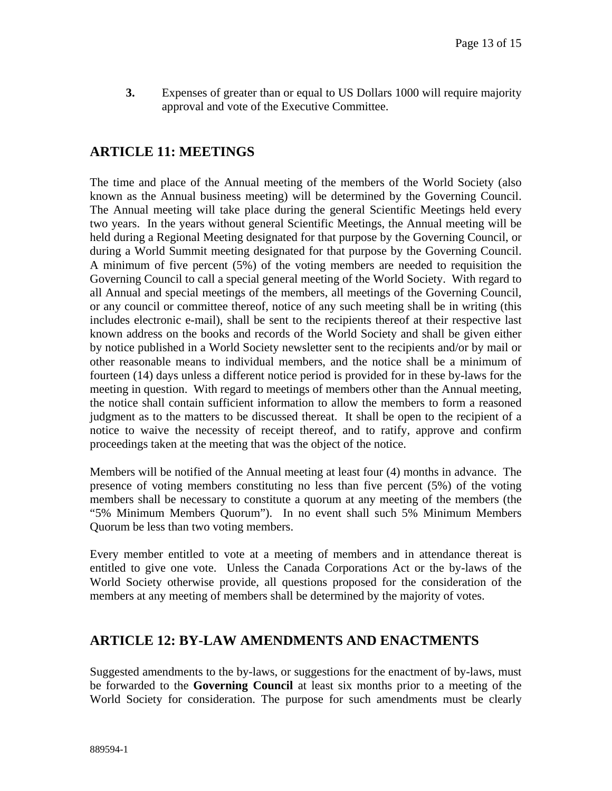**3.** Expenses of greater than or equal to US Dollars 1000 will require majority approval and vote of the Executive Committee.

### **ARTICLE 11: MEETINGS**

The time and place of the Annual meeting of the members of the World Society (also known as the Annual business meeting) will be determined by the Governing Council. The Annual meeting will take place during the general Scientific Meetings held every two years. In the years without general Scientific Meetings, the Annual meeting will be held during a Regional Meeting designated for that purpose by the Governing Council, or during a World Summit meeting designated for that purpose by the Governing Council. A minimum of five percent (5%) of the voting members are needed to requisition the Governing Council to call a special general meeting of the World Society. With regard to all Annual and special meetings of the members, all meetings of the Governing Council, or any council or committee thereof, notice of any such meeting shall be in writing (this includes electronic e-mail), shall be sent to the recipients thereof at their respective last known address on the books and records of the World Society and shall be given either by notice published in a World Society newsletter sent to the recipients and/or by mail or other reasonable means to individual members, and the notice shall be a minimum of fourteen (14) days unless a different notice period is provided for in these by-laws for the meeting in question. With regard to meetings of members other than the Annual meeting, the notice shall contain sufficient information to allow the members to form a reasoned judgment as to the matters to be discussed thereat. It shall be open to the recipient of a notice to waive the necessity of receipt thereof, and to ratify, approve and confirm proceedings taken at the meeting that was the object of the notice.

Members will be notified of the Annual meeting at least four (4) months in advance. The presence of voting members constituting no less than five percent (5%) of the voting members shall be necessary to constitute a quorum at any meeting of the members (the "5% Minimum Members Quorum"). In no event shall such 5% Minimum Members Quorum be less than two voting members.

Every member entitled to vote at a meeting of members and in attendance thereat is entitled to give one vote. Unless the Canada Corporations Act or the by-laws of the World Society otherwise provide, all questions proposed for the consideration of the members at any meeting of members shall be determined by the majority of votes.

### **ARTICLE 12: BY-LAW AMENDMENTS AND ENACTMENTS**

Suggested amendments to the by-laws, or suggestions for the enactment of by-laws, must be forwarded to the **Governing Council** at least six months prior to a meeting of the World Society for consideration. The purpose for such amendments must be clearly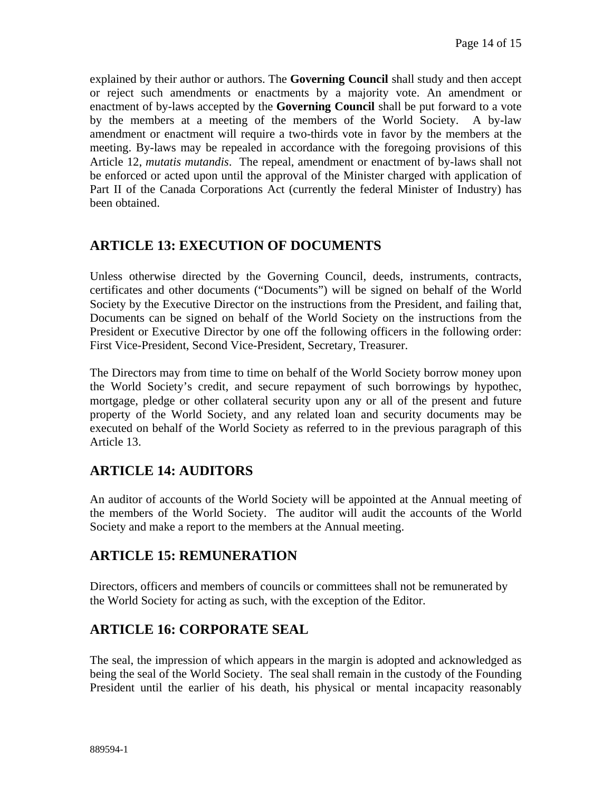explained by their author or authors. The **Governing Council** shall study and then accept or reject such amendments or enactments by a majority vote. An amendment or enactment of by-laws accepted by the **Governing Council** shall be put forward to a vote by the members at a meeting of the members of the World Society. A by-law amendment or enactment will require a two-thirds vote in favor by the members at the meeting. By-laws may be repealed in accordance with the foregoing provisions of this Article 12, *mutatis mutandis*. The repeal, amendment or enactment of by-laws shall not be enforced or acted upon until the approval of the Minister charged with application of Part II of the Canada Corporations Act (currently the federal Minister of Industry) has been obtained.

# **ARTICLE 13: EXECUTION OF DOCUMENTS**

Unless otherwise directed by the Governing Council, deeds, instruments, contracts, certificates and other documents ("Documents") will be signed on behalf of the World Society by the Executive Director on the instructions from the President, and failing that, Documents can be signed on behalf of the World Society on the instructions from the President or Executive Director by one off the following officers in the following order: First Vice-President, Second Vice-President, Secretary, Treasurer.

The Directors may from time to time on behalf of the World Society borrow money upon the World Society's credit, and secure repayment of such borrowings by hypothec, mortgage, pledge or other collateral security upon any or all of the present and future property of the World Society, and any related loan and security documents may be executed on behalf of the World Society as referred to in the previous paragraph of this Article 13.

# **ARTICLE 14: AUDITORS**

An auditor of accounts of the World Society will be appointed at the Annual meeting of the members of the World Society. The auditor will audit the accounts of the World Society and make a report to the members at the Annual meeting.

# **ARTICLE 15: REMUNERATION**

Directors, officers and members of councils or committees shall not be remunerated by the World Society for acting as such, with the exception of the Editor.

### **ARTICLE 16: CORPORATE SEAL**

The seal, the impression of which appears in the margin is adopted and acknowledged as being the seal of the World Society. The seal shall remain in the custody of the Founding President until the earlier of his death, his physical or mental incapacity reasonably